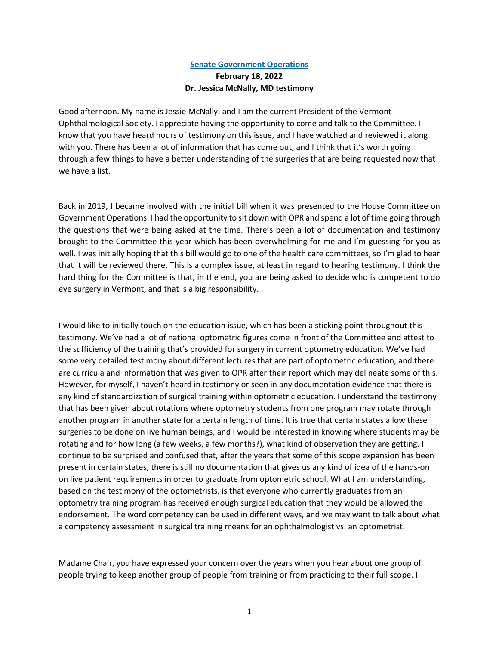## **[Senate Government Operations](https://www.youtube.com/watch?v=44EDssLzJxs) February 18, 2022 Dr. Jessica McNally, MD testimony**

Good afternoon. My name is Jessie McNally, and I am the current President of the Vermont Ophthalmological Society. I appreciate having the opportunity to come and talk to the Committee. I know that you have heard hours of testimony on this issue, and I have watched and reviewed it along with you. There has been a lot of information that has come out, and I think that it's worth going through a few things to have a better understanding of the surgeries that are being requested now that we have a list.

Back in 2019, I became involved with the initial bill when it was presented to the House Committee on Government Operations. I had the opportunity to sit down with OPR and spend a lot of time going through the questions that were being asked at the time. There's been a lot of documentation and testimony brought to the Committee this year which has been overwhelming for me and I'm guessing for you as well. I was initially hoping that this bill would go to one of the health care committees, so I'm glad to hear that it will be reviewed there. This is a complex issue, at least in regard to hearing testimony. I think the hard thing for the Committee is that, in the end, you are being asked to decide who is competent to do eye surgery in Vermont, and that is a big responsibility.

I would like to initially touch on the education issue, which has been a sticking point throughout this testimony. We've had a lot of national optometric figures come in front of the Committee and attest to the sufficiency of the training that's provided for surgery in current optometry education. We've had some very detailed testimony about different lectures that are part of optometric education, and there are curricula and information that was given to OPR after their report which may delineate some of this. However, for myself, I haven't heard in testimony or seen in any documentation evidence that there is any kind of standardization of surgical training within optometric education. I understand the testimony that has been given about rotations where optometry students from one program may rotate through another program in another state for a certain length of time. It is true that certain states allow these surgeries to be done on live human beings, and I would be interested in knowing where students may be rotating and for how long (a few weeks, a few months?), what kind of observation they are getting. I continue to be surprised and confused that, after the years that some of this scope expansion has been present in certain states, there is still no documentation that gives us any kind of idea of the hands-on on live patient requirements in order to graduate from optometric school. What I am understanding, based on the testimony of the optometrists, is that everyone who currently graduates from an optometry training program has received enough surgical education that they would be allowed the endorsement. The word competency can be used in different ways, and we may want to talk about what a competency assessment in surgical training means for an ophthalmologist vs. an optometrist.

Madame Chair, you have expressed your concern over the years when you hear about one group of people trying to keep another group of people from training or from practicing to their full scope. I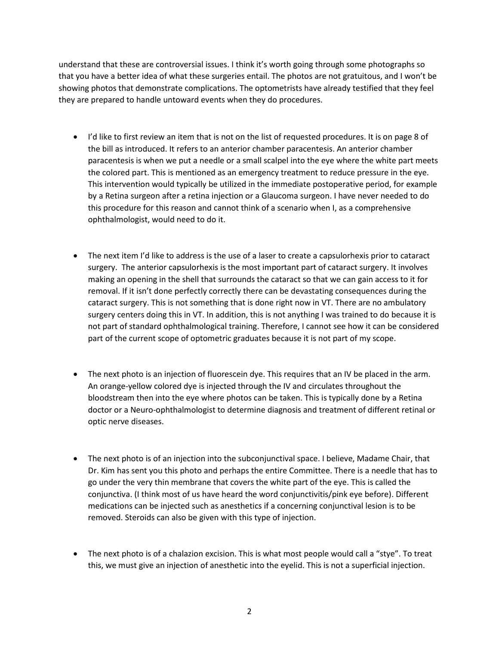understand that these are controversial issues. I think it's worth going through some photographs so that you have a better idea of what these surgeries entail. The photos are not gratuitous, and I won't be showing photos that demonstrate complications. The optometrists have already testified that they feel they are prepared to handle untoward events when they do procedures.

- I'd like to first review an item that is not on the list of requested procedures. It is on page 8 of the bill as introduced. It refers to an anterior chamber paracentesis. An anterior chamber paracentesis is when we put a needle or a small scalpel into the eye where the white part meets the colored part. This is mentioned as an emergency treatment to reduce pressure in the eye. This intervention would typically be utilized in the immediate postoperative period, for example by a Retina surgeon after a retina injection or a Glaucoma surgeon. I have never needed to do this procedure for this reason and cannot think of a scenario when I, as a comprehensive ophthalmologist, would need to do it.
- The next item I'd like to address is the use of a laser to create a capsulorhexis prior to cataract surgery. The anterior capsulorhexis is the most important part of cataract surgery. It involves making an opening in the shell that surrounds the cataract so that we can gain access to it for removal. If it isn't done perfectly correctly there can be devastating consequences during the cataract surgery. This is not something that is done right now in VT. There are no ambulatory surgery centers doing this in VT. In addition, this is not anything I was trained to do because it is not part of standard ophthalmological training. Therefore, I cannot see how it can be considered part of the current scope of optometric graduates because it is not part of my scope.
- The next photo is an injection of fluorescein dye. This requires that an IV be placed in the arm. An orange-yellow colored dye is injected through the IV and circulates throughout the bloodstream then into the eye where photos can be taken. This is typically done by a Retina doctor or a Neuro-ophthalmologist to determine diagnosis and treatment of different retinal or optic nerve diseases.
- The next photo is of an injection into the subconjunctival space. I believe, Madame Chair, that Dr. Kim has sent you this photo and perhaps the entire Committee. There is a needle that has to go under the very thin membrane that covers the white part of the eye. This is called the conjunctiva. (I think most of us have heard the word conjunctivitis/pink eye before). Different medications can be injected such as anesthetics if a concerning conjunctival lesion is to be removed. Steroids can also be given with this type of injection.
- The next photo is of a chalazion excision. This is what most people would call a "stye". To treat this, we must give an injection of anesthetic into the eyelid. This is not a superficial injection.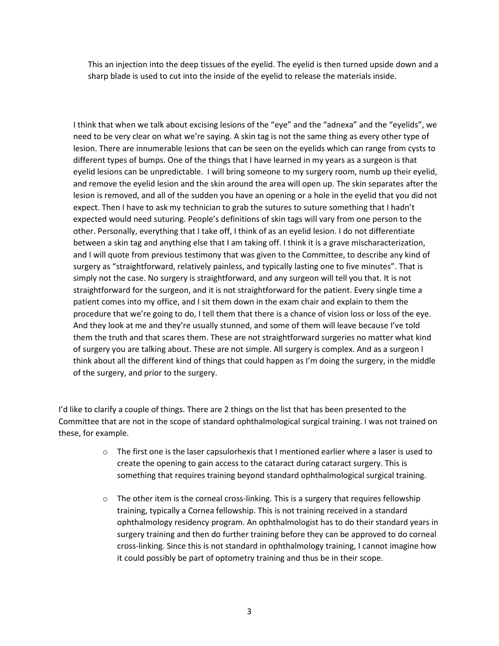This an injection into the deep tissues of the eyelid. The eyelid is then turned upside down and a sharp blade is used to cut into the inside of the eyelid to release the materials inside.

I think that when we talk about excising lesions of the "eye" and the "adnexa" and the "eyelids", we need to be very clear on what we're saying. A skin tag is not the same thing as every other type of lesion. There are innumerable lesions that can be seen on the eyelids which can range from cysts to different types of bumps. One of the things that I have learned in my years as a surgeon is that eyelid lesions can be unpredictable. I will bring someone to my surgery room, numb up their eyelid, and remove the eyelid lesion and the skin around the area will open up. The skin separates after the lesion is removed, and all of the sudden you have an opening or a hole in the eyelid that you did not expect. Then I have to ask my technician to grab the sutures to suture something that I hadn't expected would need suturing. People's definitions of skin tags will vary from one person to the other. Personally, everything that I take off, I think of as an eyelid lesion. I do not differentiate between a skin tag and anything else that I am taking off. I think it is a grave mischaracterization, and I will quote from previous testimony that was given to the Committee, to describe any kind of surgery as "straightforward, relatively painless, and typically lasting one to five minutes". That is simply not the case. No surgery is straightforward, and any surgeon will tell you that. It is not straightforward for the surgeon, and it is not straightforward for the patient. Every single time a patient comes into my office, and I sit them down in the exam chair and explain to them the procedure that we're going to do, I tell them that there is a chance of vision loss or loss of the eye. And they look at me and they're usually stunned, and some of them will leave because I've told them the truth and that scares them. These are not straightforward surgeries no matter what kind of surgery you are talking about. These are not simple. All surgery is complex. And as a surgeon I think about all the different kind of things that could happen as I'm doing the surgery, in the middle of the surgery, and prior to the surgery.

I'd like to clarify a couple of things. There are 2 things on the list that has been presented to the Committee that are not in the scope of standard ophthalmological surgical training. I was not trained on these, for example.

- $\circ$  The first one is the laser capsulorhexis that I mentioned earlier where a laser is used to create the opening to gain access to the cataract during cataract surgery. This is something that requires training beyond standard ophthalmological surgical training.
- $\circ$  The other item is the corneal cross-linking. This is a surgery that requires fellowship training, typically a Cornea fellowship. This is not training received in a standard ophthalmology residency program. An ophthalmologist has to do their standard years in surgery training and then do further training before they can be approved to do corneal cross-linking. Since this is not standard in ophthalmology training, I cannot imagine how it could possibly be part of optometry training and thus be in their scope.